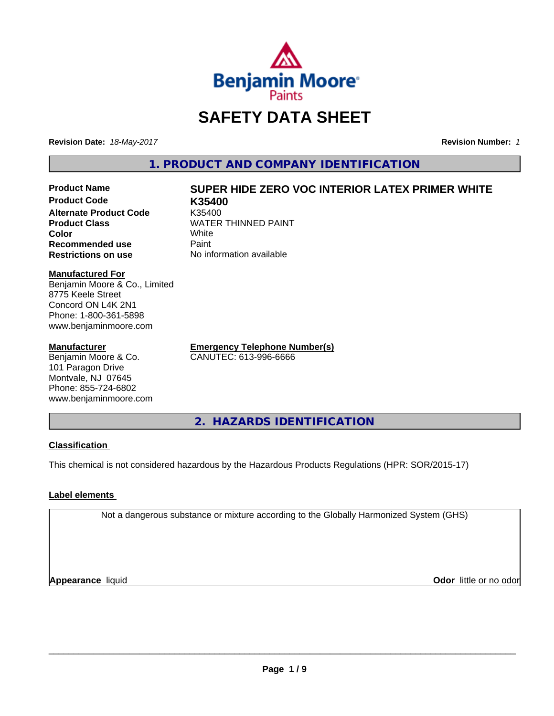

# **SAFETY DATA SHEET**

**Revision Date:** *18-May-2017* **Revision Number:** *1*

**1. PRODUCT AND COMPANY IDENTIFICATION**

**Product Code K35400 Alternate Product Code** K35400<br> **Product Class** WATER **Color** White White **Recommended use** Paint<br> **Restrictions on use** No inf

# **Product Name SUPER HIDE ZERO VOC INTERIOR LATEX PRIMER WHITE**

**WATER THINNED PAINT No information available** 

#### **Manufactured For**

Benjamin Moore & Co., Limited 8775 Keele Street Concord ON L4K 2N1 Phone: 1-800-361-5898 www.benjaminmoore.com

#### **Manufacturer**

Benjamin Moore & Co. 101 Paragon Drive Montvale, NJ 07645 Phone: 855-724-6802 www.benjaminmoore.com

**Emergency Telephone Number(s)** CANUTEC: 613-996-6666

**2. HAZARDS IDENTIFICATION**

# **Classification**

This chemical is not considered hazardous by the Hazardous Products Regulations (HPR: SOR/2015-17)

# **Label elements**

Not a dangerous substance or mixture according to the Globally Harmonized System (GHS)

**Appearance** liquid

**Odor** little or no odor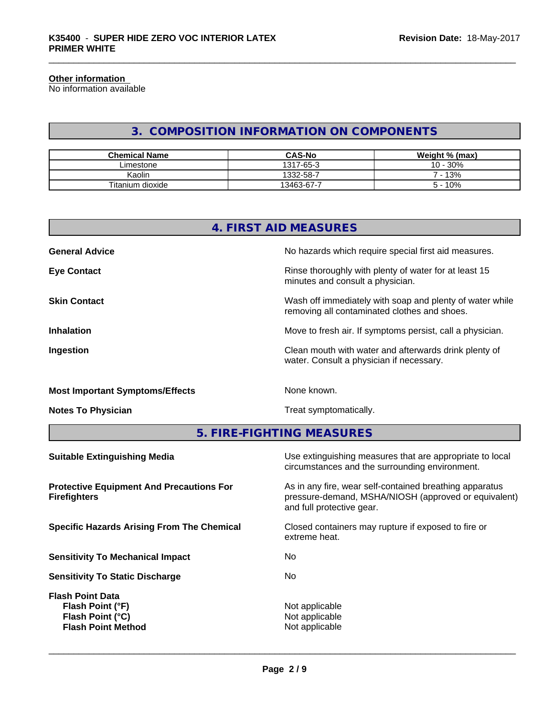#### **Other information**

No information available

# **3. COMPOSITION INFORMATION ON COMPONENTS**

| <b>Chemical Name</b> | <b>CAS-No</b> | Weight % (max) |
|----------------------|---------------|----------------|
| ∟imestone            | 1317-65-3     | 30%<br>$10 -$  |
| Kaolin               | 1332-58-7     | 13%            |
| Titanium dioxide     | 13463-67-7    | 10%            |

| 4. FIRST AID MEASURES |                                                                                                          |  |  |  |
|-----------------------|----------------------------------------------------------------------------------------------------------|--|--|--|
| <b>General Advice</b> | No hazards which require special first aid measures.                                                     |  |  |  |
| <b>Eye Contact</b>    | Rinse thoroughly with plenty of water for at least 15<br>minutes and consult a physician.                |  |  |  |
| <b>Skin Contact</b>   | Wash off immediately with soap and plenty of water while<br>removing all contaminated clothes and shoes. |  |  |  |
| <b>Inhalation</b>     | Move to fresh air. If symptoms persist, call a physician.                                                |  |  |  |
| Ingestion             | Clean mouth with water and afterwards drink plenty of<br>water. Consult a physician if necessary.        |  |  |  |

# **Most Important Symptoms/Effects** None known.

**Notes To Physician Treat symptomatically.** Treat symptomatically.

**5. FIRE-FIGHTING MEASURES**

| <b>Suitable Extinguishing Media</b>                                                          | Use extinguishing measures that are appropriate to local<br>circumstances and the surrounding environment.                                   |
|----------------------------------------------------------------------------------------------|----------------------------------------------------------------------------------------------------------------------------------------------|
| <b>Protective Equipment And Precautions For</b><br><b>Firefighters</b>                       | As in any fire, wear self-contained breathing apparatus<br>pressure-demand, MSHA/NIOSH (approved or equivalent)<br>and full protective gear. |
| <b>Specific Hazards Arising From The Chemical</b>                                            | Closed containers may rupture if exposed to fire or<br>extreme heat.                                                                         |
| <b>Sensitivity To Mechanical Impact</b>                                                      | No                                                                                                                                           |
| <b>Sensitivity To Static Discharge</b>                                                       | No.                                                                                                                                          |
| <b>Flash Point Data</b><br>Flash Point (°F)<br>Flash Point (°C)<br><b>Flash Point Method</b> | Not applicable<br>Not applicable<br>Not applicable                                                                                           |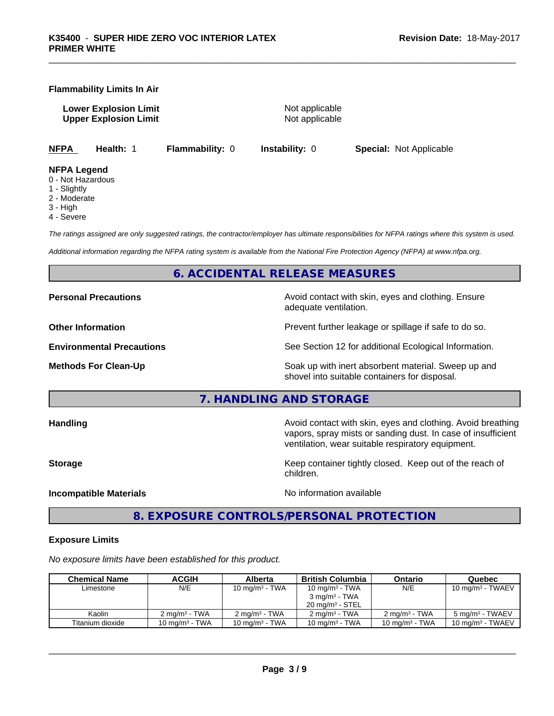#### **Flammability Limits In Air**

**Lower Explosion Limit Contract Accord Accord Accord Accord Accord Accord Accord Accord Accord Accord Accord Accord Accord Accord Accord Accord Accord Accord Accord Accord Accord Accord Accord Accord Accord Accord Accord Upper Explosion Limit** Not applicable

**NFPA Health:** 1 **Flammability:** 0 **Instability:** 0 **Special:** Not Applicable

#### **NFPA Legend**

- 0 Not Hazardous
- 1 Slightly
- 2 Moderate
- 3 High
- 4 Severe

*The ratings assigned are only suggested ratings, the contractor/employer has ultimate responsibilities for NFPA ratings where this system is used.*

*Additional information regarding the NFPA rating system is available from the National Fire Protection Agency (NFPA) at www.nfpa.org.*

# **6. ACCIDENTAL RELEASE MEASURES**

**Personal Precautions Avoid contact with skin, eyes and clothing. Ensure** Avoid contact with skin, eyes and clothing. Ensure adequate ventilation.

**Other Information Discription Prevent further leakage or spillage if safe to do so.** 

**Environmental Precautions** See Section 12 for additional Ecological Information.

**Methods For Clean-Up Example 20 All 20 All 20 All 20 Soak up with inert absorbent material. Sweep up and** shovel into suitable containers for disposal.

**7. HANDLING AND STORAGE**

**Handling Handling Avoid contact with skin, eyes and clothing. Avoid breathing** vapors, spray mists or sanding dust. In case of insufficient ventilation, wear suitable respiratory equipment. **Storage Keep container tightly closed.** Keep out of the reach of children. **Incompatible Materials** Noinformation available

**8. EXPOSURE CONTROLS/PERSONAL PROTECTION**

#### **Exposure Limits**

*No exposure limits have been established for this product.*

| <b>Chemical Name</b> | ACGIH                    | Alberta                  | <b>British Columbia</b>    | Ontario                  | Quebec                       |
|----------------------|--------------------------|--------------------------|----------------------------|--------------------------|------------------------------|
| Limestone            | N/E                      | 10 mg/m $3$ - TWA        | 10 mg/m $3$ - TWA          | N/E                      | 10 mg/m <sup>3</sup> - TWAEV |
|                      |                          |                          | $3 \text{ ma/m}^3$ - TWA   |                          |                              |
|                      |                          |                          | $20 \text{ ma/m}^3$ - STEL |                          |                              |
| Kaolin               | $2 \text{ ma/m}^3$ - TWA | $2 \text{ ma/m}^3$ - TWA | $2 \text{ ma/m}^3$ - TWA   | $2 \text{ ma/m}^3$ - TWA | 5 mg/m <sup>3</sup> - TWAEV  |
| Titanium dioxide     | 10 mg/m $3$ - TWA        | 10 mg/m $3$ - TWA        | 10 mg/m $3$ - TWA          | 10 mg/m $3$ - TWA        | $10 \text{ mg/m}^3$ - TWAEV  |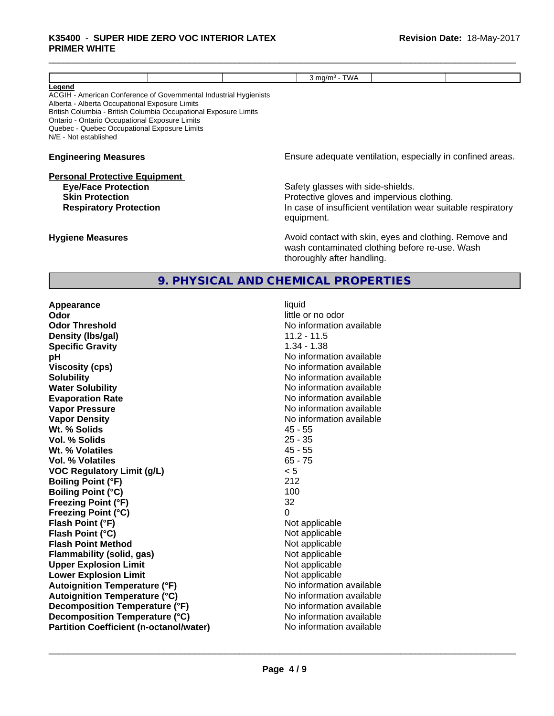#### \_\_\_\_\_\_\_\_\_\_\_\_\_\_\_\_\_\_\_\_\_\_\_\_\_\_\_\_\_\_\_\_\_\_\_\_\_\_\_\_\_\_\_\_\_\_\_\_\_\_\_\_\_\_\_\_\_\_\_\_\_\_\_\_\_\_\_\_\_\_\_\_\_\_\_\_\_\_\_\_\_\_\_\_\_\_\_\_\_\_\_\_\_ **K35400** - **SUPER HIDE ZERO VOC INTERIOR LATEX PRIMER WHITE**

|                                                                                                                                                                                                                                                                                                                                     |  |  | $3$ mg/m <sup>3</sup> - TWA                                                                                                            |  |                                                               |
|-------------------------------------------------------------------------------------------------------------------------------------------------------------------------------------------------------------------------------------------------------------------------------------------------------------------------------------|--|--|----------------------------------------------------------------------------------------------------------------------------------------|--|---------------------------------------------------------------|
| <u>Legend</u><br>ACGIH - American Conference of Governmental Industrial Hygienists<br>Alberta - Alberta Occupational Exposure Limits<br>British Columbia - British Columbia Occupational Exposure Limits<br>Ontario - Ontario Occupational Exposure Limits<br>Quebec - Quebec Occupational Exposure Limits<br>N/E - Not established |  |  |                                                                                                                                        |  |                                                               |
| <b>Engineering Measures</b><br><b>Personal Protective Equipment</b><br><b>Eye/Face Protection</b><br><b>Skin Protection</b><br><b>Respiratory Protection</b><br><b>Hygiene Measures</b>                                                                                                                                             |  |  |                                                                                                                                        |  | Ensure adequate ventilation, especially in confined areas.    |
|                                                                                                                                                                                                                                                                                                                                     |  |  | Safety glasses with side-shields.<br>Protective gloves and impervious clothing.<br>equipment.                                          |  | In case of insufficient ventilation wear suitable respiratory |
|                                                                                                                                                                                                                                                                                                                                     |  |  | Avoid contact with skin, eyes and clothing. Remove and<br>wash contaminated clothing before re-use. Wash<br>thoroughly after handling. |  |                                                               |
|                                                                                                                                                                                                                                                                                                                                     |  |  | 9. PHYSICAL AND CHEMICAL PROPERTIES                                                                                                    |  |                                                               |
| Appearance<br>Odor                                                                                                                                                                                                                                                                                                                  |  |  | liquid<br>little or no odor                                                                                                            |  |                                                               |

| <b>Appearance</b>                              |                          |
|------------------------------------------------|--------------------------|
| Odor                                           | little or no odor        |
| <b>Odor Threshold</b>                          | No information available |
| Density (Ibs/gal)                              | $11.2 - 11.5$            |
| <b>Specific Gravity</b>                        | $1.34 - 1.38$            |
| рH                                             | No information available |
| <b>Viscosity (cps)</b>                         | No information available |
| <b>Solubility</b>                              | No information available |
| <b>Water Solubility</b>                        | No information available |
| <b>Evaporation Rate</b>                        | No information available |
| <b>Vapor Pressure</b>                          | No information available |
| <b>Vapor Density</b>                           | No information available |
| Wt. % Solids                                   | $45 - 55$                |
| Vol. % Solids                                  | $25 - 35$                |
| Wt. % Volatiles                                | $45 - 55$                |
| Vol. % Volatiles                               | $65 - 75$                |
| <b>VOC Regulatory Limit (g/L)</b>              | < 5                      |
| <b>Boiling Point (°F)</b>                      | 212                      |
| <b>Boiling Point (°C)</b>                      | 100                      |
| <b>Freezing Point (°F)</b>                     | 32                       |
| <b>Freezing Point (°C)</b>                     | $\Omega$                 |
| Flash Point (°F)                               | Not applicable           |
| Flash Point (°C)                               | Not applicable           |
| <b>Flash Point Method</b>                      | Not applicable           |
| <b>Flammability (solid, gas)</b>               | Not applicable           |
| <b>Upper Explosion Limit</b>                   | Not applicable           |
| <b>Lower Explosion Limit</b>                   | Not applicable           |
| <b>Autoignition Temperature (°F)</b>           | No information available |
| <b>Autoignition Temperature (°C)</b>           | No information available |
| Decomposition Temperature (°F)                 | No information available |
| Decomposition Temperature (°C)                 | No information available |
| <b>Partition Coefficient (n-octanol/water)</b> | No information available |
|                                                |                          |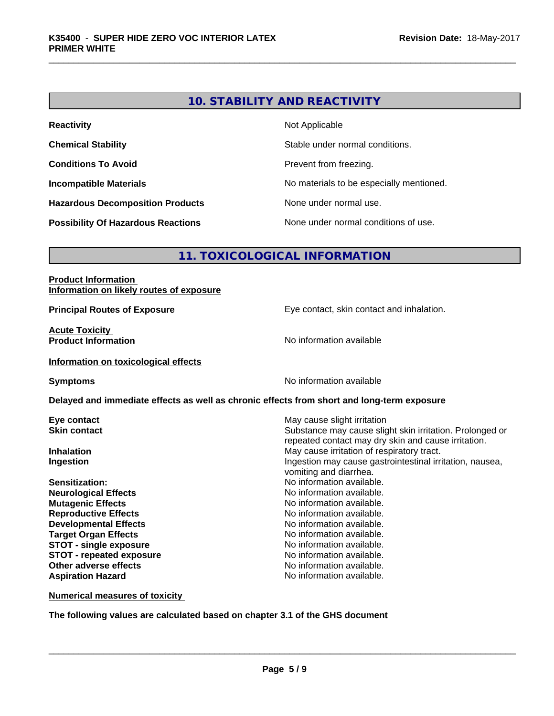# **10. STABILITY AND REACTIVITY**

| <b>Reactivity</b>                         | Not Applicable                           |
|-------------------------------------------|------------------------------------------|
| <b>Chemical Stability</b>                 | Stable under normal conditions.          |
| <b>Conditions To Avoid</b>                | Prevent from freezing.                   |
| <b>Incompatible Materials</b>             | No materials to be especially mentioned. |
| <b>Hazardous Decomposition Products</b>   | None under normal use.                   |
| <b>Possibility Of Hazardous Reactions</b> | None under normal conditions of use.     |

# **11. TOXICOLOGICAL INFORMATION**

#### **Product Information Information on likely routes of exposure**

**Principal Routes of Exposure Exposure** Eye contact, skin contact and inhalation.

**Acute Toxicity**<br>**Product Information** 

**Information on toxicological effects**

**Symptoms** No information available

**No information available** 

#### **Delayed and immediate effects as well as chronic effects from short and long-term exposure**

**Neurological Effects Mutagenic Effects No information available. Reproductive Effects No information available.** No information available. **Developmental Effects No information available. Target Organ Effects No information available.** No information available. **STOT** - single exposure **No information available. STOT** - **repeated exposure** No information available. **Other adverse effects** Noinformation available. **Aspiration Hazard No information available.** 

**Eye contact Exercise Solution Exercise Solution May cause slight irritation Skin contact** Substance may cause slight skin irritation. Prolonged or repeated contact may dry skin and cause irritation. **Inhalation** May cause irritation of respiratory tract. **Ingestion Ingestion Ingestion may cause gastrointestinal irritation, nausea,** vomiting and diarrhea. **Sensitization:** No information available.<br> **No information available.**<br>
No information available.

**Numerical measures of toxicity**

**The following values are calculated based on chapter 3.1 of the GHS document**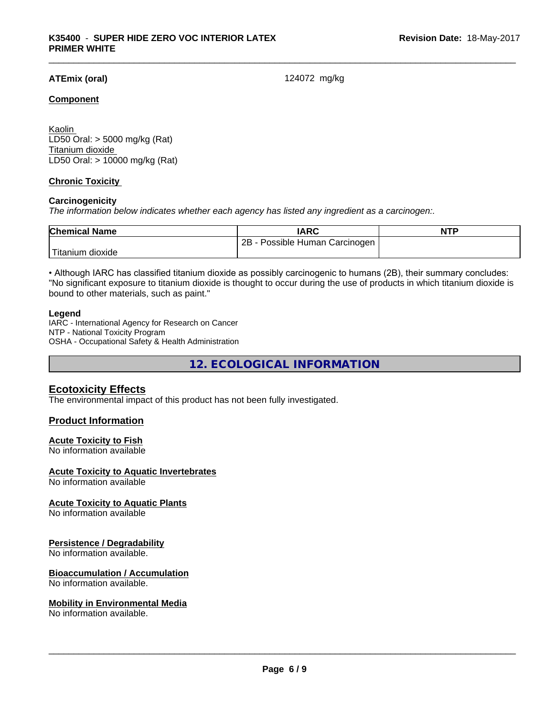# **ATEmix (oral)** 124072 mg/kg

#### **Component**

Kaolin LD50 Oral: > 5000 mg/kg (Rat) Titanium dioxide LD50 Oral: > 10000 mg/kg (Rat)

### **Chronic Toxicity**

#### **Carcinogenicity**

*The information below indicateswhether each agency has listed any ingredient as a carcinogen:.*

| <b>Chemical Name</b> | IARC                            | <b>NTP</b> |
|----------------------|---------------------------------|------------|
|                      | Possible Human Carcinogen<br>2B |            |
| Titanium dioxide     |                                 |            |

• Although IARC has classified titanium dioxide as possibly carcinogenic to humans (2B), their summary concludes: "No significant exposure to titanium dioxide is thought to occur during the use of products in which titanium dioxide is bound to other materials, such as paint."

#### **Legend**

IARC - International Agency for Research on Cancer NTP - National Toxicity Program OSHA - Occupational Safety & Health Administration

**12. ECOLOGICAL INFORMATION**

# **Ecotoxicity Effects**

The environmental impact of this product has not been fully investigated.

# **Product Information**

#### **Acute Toxicity to Fish**

No information available

#### **Acute Toxicity to Aquatic Invertebrates**

No information available

#### **Acute Toxicity to Aquatic Plants**

No information available

#### **Persistence / Degradability**

No information available.

#### **Bioaccumulation / Accumulation**

No information available.

#### **Mobility in Environmental Media**

No information available.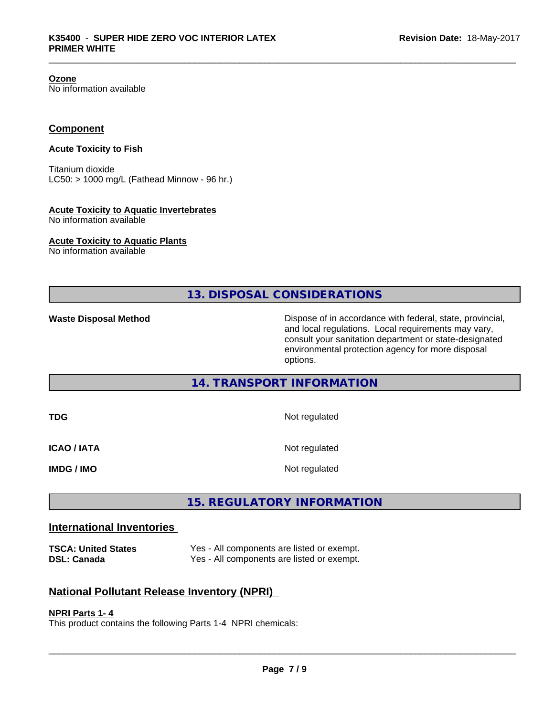**Ozone**

No information available

# **Component**

### **Acute Toxicity to Fish**

Titanium dioxide  $LC50:$  > 1000 mg/L (Fathead Minnow - 96 hr.)

#### **Acute Toxicity to Aquatic Invertebrates**

No information available

#### **Acute Toxicity to Aquatic Plants**

No information available

**13. DISPOSAL CONSIDERATIONS**

**Waste Disposal Method** Dispose of in accordance with federal, state, provincial, and local regulations. Local requirements may vary, consult your sanitation department or state-designated environmental protection agency for more disposal options.

# **14. TRANSPORT INFORMATION**

| TDG                | Not regulated |
|--------------------|---------------|
| <b>ICAO / IATA</b> | Not regulated |
| <b>IMDG / IMO</b>  | Not regulated |

# **15. REGULATORY INFORMATION**

# **International Inventories**

**TSCA: United States** Yes - All components are listed or exempt. **DSL: Canada** Yes - All components are listed or exempt.

# **National Pollutant Release Inventory (NPRI)**

#### **NPRI Parts 1- 4**

This product contains the following Parts 1-4 NPRI chemicals: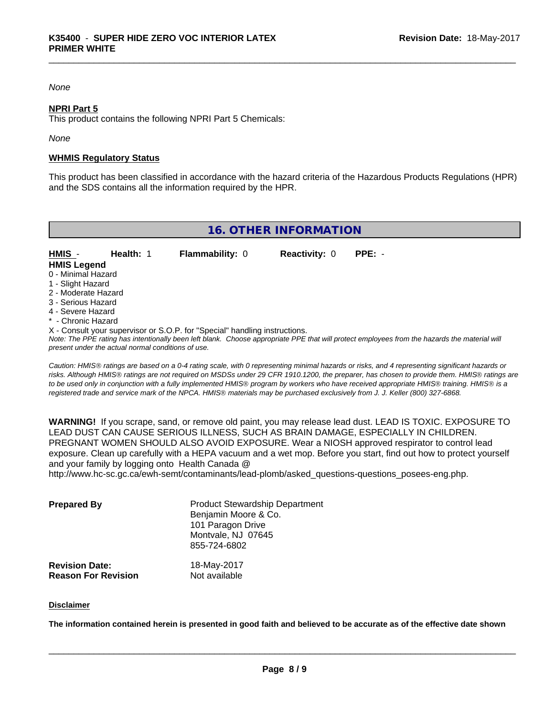#### *None*

#### **NPRI Part 5**

This product contains the following NPRI Part 5 Chemicals:

#### *None*

#### **WHMIS Regulatory Status**

This product has been classified in accordance with the hazard criteria of the Hazardous Products Regulations (HPR) and the SDS contains all the information required by the HPR.

# **16. OTHER INFORMATION**

| HMIS -                                             | <b>Health: 1</b> | <b>Flammability: 0</b>                                                     | <b>Reactivity: 0</b> | $PPE: -$                                                                                                                                      |
|----------------------------------------------------|------------------|----------------------------------------------------------------------------|----------------------|-----------------------------------------------------------------------------------------------------------------------------------------------|
| <b>HMIS Legend</b>                                 |                  |                                                                            |                      |                                                                                                                                               |
| 0 - Minimal Hazard                                 |                  |                                                                            |                      |                                                                                                                                               |
| 1 - Slight Hazard                                  |                  |                                                                            |                      |                                                                                                                                               |
| 2 - Moderate Hazard                                |                  |                                                                            |                      |                                                                                                                                               |
| 3 - Serious Hazard                                 |                  |                                                                            |                      |                                                                                                                                               |
| 4 - Severe Hazard                                  |                  |                                                                            |                      |                                                                                                                                               |
| * - Chronic Hazard                                 |                  |                                                                            |                      |                                                                                                                                               |
|                                                    |                  | X - Consult your supervisor or S.O.P. for "Special" handling instructions. |                      |                                                                                                                                               |
| present under the actual normal conditions of use. |                  |                                                                            |                      | Note: The PPE rating has intentionally been left blank. Choose appropriate PPE that will protect employees from the hazards the material will |

*Caution: HMISÒ ratings are based on a 0-4 rating scale, with 0 representing minimal hazards or risks, and 4 representing significant hazards or risks. Although HMISÒ ratings are not required on MSDSs under 29 CFR 1910.1200, the preparer, has chosen to provide them. HMISÒ ratings are to be used only in conjunction with a fully implemented HMISÒ program by workers who have received appropriate HMISÒ training. HMISÒ is a registered trade and service mark of the NPCA. HMISÒ materials may be purchased exclusively from J. J. Keller (800) 327-6868.*

**WARNING!** If you scrape, sand, or remove old paint, you may release lead dust. LEAD IS TOXIC. EXPOSURE TO LEAD DUST CAN CAUSE SERIOUS ILLNESS, SUCH AS BRAIN DAMAGE, ESPECIALLY IN CHILDREN. PREGNANT WOMEN SHOULD ALSO AVOID EXPOSURE. Wear a NIOSH approved respirator to control lead exposure. Clean up carefully with a HEPA vacuum and a wet mop. Before you start, find out how to protect yourself and your family by logging onto Health Canada @ http://www.hc-sc.gc.ca/ewh-semt/contaminants/lead-plomb/asked\_questions-questions\_posees-eng.php.

| <b>Prepared By</b>                                  | <b>Product Stewardship Department</b><br>Benjamin Moore & Co.<br>101 Paragon Drive<br>Montvale, NJ 07645<br>855-724-6802 |  |
|-----------------------------------------------------|--------------------------------------------------------------------------------------------------------------------------|--|
| <b>Revision Date:</b><br><b>Reason For Revision</b> | 18-May-2017<br>Not available                                                                                             |  |

#### **Disclaimer**

The information contained herein is presented in good faith and believed to be accurate as of the effective date shown